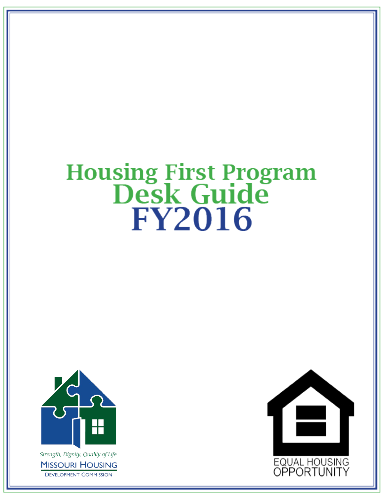# **Housing First Program<br>Desk Guide FY2016**



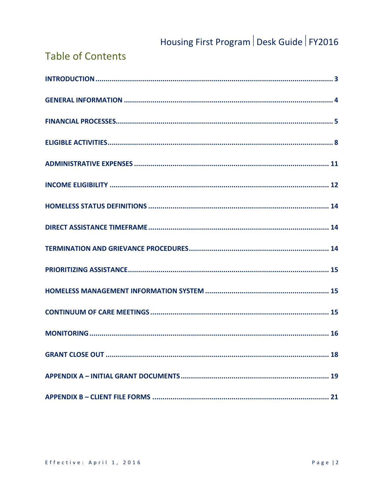### **Table of Contents**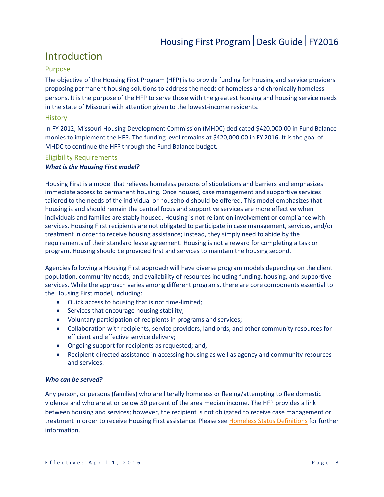### <span id="page-2-0"></span>Introduction

### Purpose

The objective of the Housing First Program (HFP) is to provide funding for housing and service providers proposing permanent housing solutions to address the needs of homeless and chronically homeless persons. It is the purpose of the HFP to serve those with the greatest housing and housing service needs in the state of Missouri with attention given to the lowest-income residents.

### **History**

In FY 2012, Missouri Housing Development Commission (MHDC) dedicated \$420,000.00 in Fund Balance monies to implement the HFP. The funding level remains at \$420,000.00 in FY 2016. It is the goal of MHDC to continue the HFP through the Fund Balance budget.

### Eligibility Requirements

### *What is the Housing First model?*

Housing First is a model that relieves homeless persons of stipulations and barriers and emphasizes immediate access to permanent housing. Once housed, case management and supportive services tailored to the needs of the individual or household should be offered. This model emphasizes that housing is and should remain the central focus and supportive services are more effective when individuals and families are stably housed. Housing is not reliant on involvement or compliance with services. Housing First recipients are not obligated to participate in case management, services, and/or treatment in order to receive housing assistance; instead, they simply need to abide by the requirements of their standard lease agreement. Housing is not a reward for completing a task or program. Housing should be provided first and services to maintain the housing second.

Agencies following a Housing First approach will have diverse program models depending on the client population, community needs, and availability of resources including funding, housing, and supportive services. While the approach varies among different programs, there are core components essential to the Housing First model, including:

- Quick access to housing that is not time-limited;
- Services that encourage housing stability;
- Voluntary participation of recipients in programs and services;
- Collaboration with recipients, service providers, landlords, and other community resources for efficient and effective service delivery;
- Ongoing support for recipients as requested; and,
- Recipient-directed assistance in accessing housing as well as agency and community resources and services.

### *Who can be served?*

Any person, or persons (families) who are literally homeless or fleeing/attempting to flee domestic violence and who are at or below 50 percent of the area median income. The HFP provides a link between housing and services; however, the recipient is not obligated to receive case management or treatment in order to receive Housing First assistance. Please se[e Homeless Status Definitions](#page-13-0) for further information.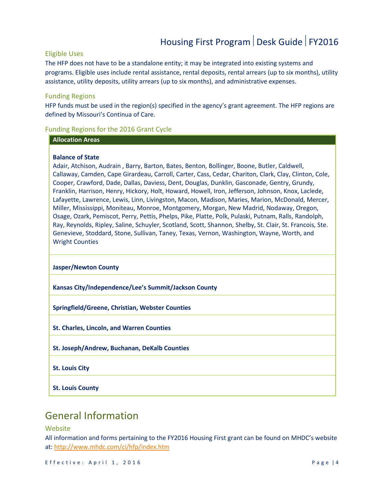### Eligible Uses

The HFP does not have to be a standalone entity; it may be integrated into existing systems and programs. Eligible uses include rental assistance, rental deposits, rental arrears (up to six months), utility assistance, utility deposits, utility arrears (up to six months), and administrative expenses.

### Funding Regions

HFP funds must be used in the region(s) specified in the agency's grant agreement. The HFP regions are defined by Missouri's Continua of Care.

### Funding Regions for the 2016 Grant Cycle

### **Allocation Areas**

### **Balance of State**

Adair, Atchison, Audrain , Barry, Barton, Bates, Benton, Bollinger, Boone, Butler, Caldwell, Callaway, Camden, Cape Girardeau, Carroll, Carter, Cass, Cedar, Chariton, Clark, Clay, Clinton, Cole, Cooper, Crawford, Dade, Dallas, Daviess, Dent, Douglas, Dunklin, Gasconade, Gentry, Grundy, Franklin, Harrison, Henry, Hickory, Holt, Howard, Howell, Iron, Jefferson, Johnson, Knox, Laclede, Lafayette, Lawrence, Lewis, Linn, Livingston, Macon, Madison, Maries, Marion, McDonald, Mercer, Miller, Mississippi, Moniteau, Monroe, Montgomery, Morgan, New Madrid, Nodaway, Oregon, Osage, Ozark, Pemiscot, Perry, Pettis, Phelps, Pike, Platte, Polk, Pulaski, Putnam, Ralls, Randolph, Ray, Reynolds, Ripley, Saline, Schuyler, Scotland, Scott, Shannon, Shelby, St. Clair, St. Francois, Ste. Genevieve, Stoddard, Stone, Sullivan, Taney, Texas, Vernon, Washington, Wayne, Worth, and Wright Counties

#### **Jasper/Newton County**

**Kansas City/Independence/Lee's Summit/Jackson County**

**Springfield/Greene, Christian, Webster Counties**

**St. Charles, Lincoln, and Warren Counties**

- **St. Joseph/Andrew, Buchanan, DeKalb Counties**
- **St. Louis City**
- <span id="page-3-0"></span>**St. Louis County**

### General Information

### Website

All information and forms pertaining to the FY2016 Housing First grant can be found on MHDC's website at: <http://www.mhdc.com/ci/hfp/index.htm>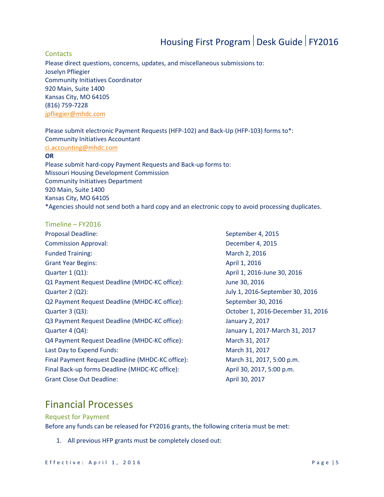#### **Contacts**

Please direct questions, concerns, updates, and miscellaneous submissions to: Joselyn Pfliegier Community Initiatives Coordinator 920 Main, Suite 1400 Kansas City, MO 64105 (816) 759-7228 [jpfliegier@mhdc.com](mailto:jpfliegier@mhdc.com)

Please submit electronic Payment Requests (HFP-102) and Back-Up (HFP-103) forms to\*: Community Initiatives Accountant

#### [ci.accounting@mhdc.com](mailto:ci.accounting@mhdc.com)

### **OR**

Please submit hard-copy Payment Requests and Back-up forms to: Missouri Housing Development Commission Community Initiatives Department 920 Main, Suite 1400 Kansas City, MO 64105 \*Agencies should not send both a hard copy and an electronic copy to avoid processing duplicates.

### <span id="page-4-1"></span>Timeline – FY2016

Proposal Deadline: September 4, 2015 Commission Approval: December 4, 2015 Funded Training: The Contract of the March 2, 2016 Grant Year Begins: April 1, 2016 Quarter 1 (Q1): <br>
April 1, 2016-June 30, 2016 Q1 Payment Request Deadline (MHDC-KC office): June 30, 2016 Quarter 2 (Q2): July 1, 2016-September 30, 2016 Q2 Payment Request Deadline (MHDC-KC office): September 30, 2016 Quarter 3 (Q3): October 1, 2016-December 31, 2016 Q3 Payment Request Deadline (MHDC-KC office): January 2, 2017 Quarter 4 (Q4): January 1, 2017-March 31, 2017 Q4 Payment Request Deadline (MHDC-KC office): March 31, 2017 Last Day to Expend Funds: March 31, 2017 Final Payment Request Deadline (MHDC-KC office): March 31, 2017, 5:00 p.m. Final Back-up forms Deadline (MHDC-KC office): April 30, 2017, 5:00 p.m. Grant Close Out Deadline: April 30, 2017

### <span id="page-4-0"></span>Financial Processes

#### Request for Payment

Before any funds can be released for FY2016 grants, the following criteria must be met:

1. All previous HFP grants must be completely closed out: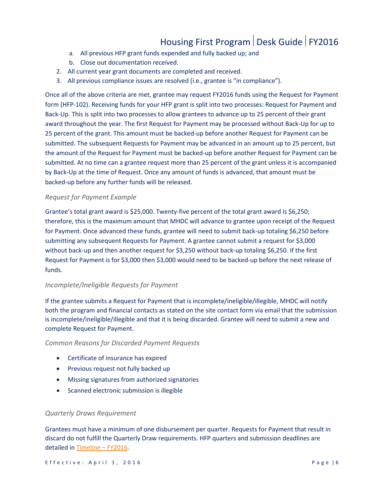- a. All previous HFP grant funds expended and fully backed up; and
- b. Close out documentation received.
- 2. All current year grant documents are completed and received.
- 3. All previous compliance issues are resolved (i.e., grantee is "in compliance").

Once all of the above criteria are met, grantee may request FY2016 funds using the Request for Payment form (HFP-102). Receiving funds for your HFP grant is split into two processes: Request for Payment and Back-Up. This is split into two processes to allow grantees to advance up to 25 percent of their grant award throughout the year. The first Request for Payment may be processed without Back-Up for up to 25 percent of the grant. This amount must be backed-up before another Request for Payment can be submitted. The subsequent Requests for Payment may be advanced in an amount up to 25 percent, but the amount of the Request for Payment must be backed-up before another Request for Payment can be submitted. At no time can a grantee request more than 25 percent of the grant unless it is accompanied by Back-Up at the time of Request. Once any amount of funds is advanced, that amount must be backed-up before any further funds will be released.

#### *Request for Payment Example*

Grantee's total grant award is \$25,000. Twenty-five percent of the total grant award is \$6,250; therefore, this is the maximum amount that MHDC will advance to grantee upon receipt of the Request for Payment. Once advanced these funds, grantee will need to submit back-up totaling \$6,250 before submitting any subsequent Requests for Payment. A grantee cannot submit a request for \$3,000 without back-up and then another request for \$3,250 without back-up totaling \$6,250. If the first Request for Payment is for \$3,000 then \$3,000 would need to be backed-up before the next release of funds.

#### *Incomplete/Ineligible Requests for Payment*

If the grantee submits a Request for Payment that is incomplete/ineligible/illegible, MHDC will notify both the program and financial contacts as stated on the site contact form via email that the submission is incomplete/ineligible/illegible and that it is being discarded. Grantee will need to submit a new and complete Request for Payment.

*Common Reasons for Discarded Payment Requests* 

- Certificate of insurance has expired
- Previous request not fully backed up
- Missing signatures from authorized signatories
- Scanned electronic submission is illegible

#### *Quarterly Draws Requirement*

Grantees must have a minimum of one disbursement per quarter. Requests for Payment that result in discard do not fulfill the Quarterly Draw requirements. HFP quarters and submission deadlines are detailed in [Timeline –](#page-4-1) FY2016.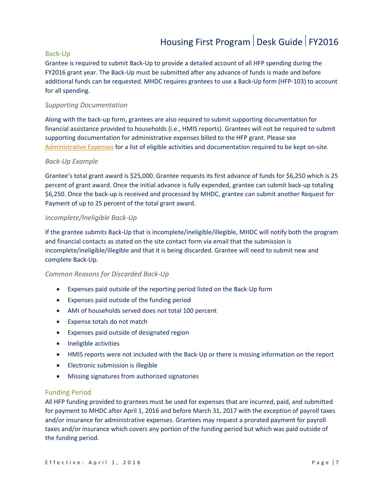### Back-Up

Grantee is required to submit Back-Up to provide a detailed account of all HFP spending during the FY2016 grant year. The Back-Up must be submitted after any advance of funds is made and before additional funds can be requested. MHDC requires grantees to use a Back-Up form (HFP-103) to account for all spending.

### *Supporting Documentation*

Along with the back-up form, grantees are also required to submit supporting documentation for financial assistance provided to households (i.e., HMIS reports). Grantees will not be required to submit supporting documentation for administrative expenses billed to the HFP grant. Please see [Administrative Expenses](#page-10-0) for a list of eligible activities and documentation required to be kept on-site.

#### *Back-Up Example*

Grantee's total grant award is \$25,000. Grantee requests its first advance of funds for \$6,250 which is 25 percent of grant award. Once the initial advance is fully expended, grantee can submit back-up totaling \$6,250. Once the back-up is received and processed by MHDC, grantee can submit another Request for Payment of up to 25 percent of the total grant award.

### *Incomplete/Ineligible Back-Up*

If the grantee submits Back-Up that is incomplete/ineligible/illegible, MHDC will notify both the program and financial contacts as stated on the site contact form via email that the submission is incomplete/ineligible/illegible and that it is being discarded. Grantee will need to submit new and complete Back-Up.

#### *Common Reasons for Discarded Back-Up*

- Expenses paid outside of the reporting period listed on the Back-Up form
- Expenses paid outside of the funding period
- AMI of households served does not total 100 percent
- Expense totals do not match
- Expenses paid outside of designated region
- Ineligible activities
- HMIS reports were not included with the Back-Up or there is missing information on the report
- Electronic submission is illegible
- Missing signatures from authorized signatories

#### Funding Period

All HFP funding provided to grantees must be used for expenses that are incurred, paid, and submitted for payment to MHDC after April 1, 2016 and before March 31, 2017 with the exception of payroll taxes and/or insurance for administrative expenses. Grantees may request a prorated payment for payroll taxes and/or insurance which covers any portion of the funding period but which was paid outside of the funding period.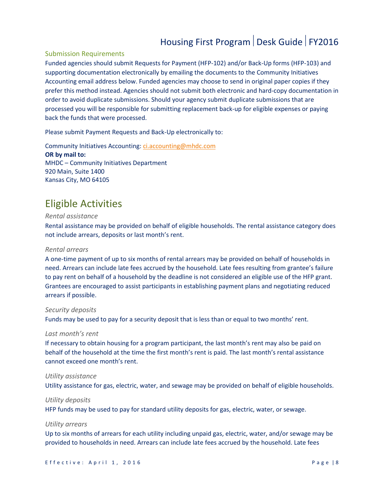### Submission Requirements

Funded agencies should submit Requests for Payment (HFP-102) and/or Back-Up forms (HFP-103) and supporting documentation electronically by emailing the documents to the Community Initiatives Accounting email address below. Funded agencies may choose to send in original paper copies if they prefer this method instead. Agencies should not submit both electronic and hard-copy documentation in order to avoid duplicate submissions. Should your agency submit duplicate submissions that are processed you will be responsible for submitting replacement back-up for eligible expenses or paying back the funds that were processed.

Please submit Payment Requests and Back-Up electronically to:

Community Initiatives Accounting: [ci.accounting@mhdc.com](mailto:ci.accounting@mhdc.com) **OR by mail to:** MHDC – Community Initiatives Department 920 Main, Suite 1400 Kansas City, MO 64105

### <span id="page-7-0"></span>Eligible Activities

#### *Rental assistance*

Rental assistance may be provided on behalf of eligible households. The rental assistance category does not include arrears, deposits or last month's rent.

### *Rental arrears*

A one-time payment of up to six months of rental arrears may be provided on behalf of households in need. Arrears can include late fees accrued by the household. Late fees resulting from grantee's failure to pay rent on behalf of a household by the deadline is not considered an eligible use of the HFP grant. Grantees are encouraged to assist participants in establishing payment plans and negotiating reduced arrears if possible.

#### *Security deposits*

Funds may be used to pay for a security deposit that is less than or equal to two months' rent.

#### *Last month's rent*

If necessary to obtain housing for a program participant, the last month's rent may also be paid on behalf of the household at the time the first month's rent is paid. The last month's rental assistance cannot exceed one month's rent.

#### *Utility assistance*

Utility assistance for gas, electric, water, and sewage may be provided on behalf of eligible households.

#### *Utility deposits*

HFP funds may be used to pay for standard utility deposits for gas, electric, water, or sewage.

#### *Utility arrears*

Up to six months of arrears for each utility including unpaid gas, electric, water, and/or sewage may be provided to households in need. Arrears can include late fees accrued by the household. Late fees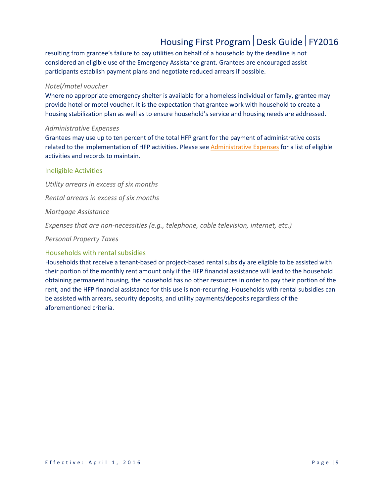resulting from grantee's failure to pay utilities on behalf of a household by the deadline is not considered an eligible use of the Emergency Assistance grant. Grantees are encouraged assist participants establish payment plans and negotiate reduced arrears if possible.

### *Hotel/motel voucher*

Where no appropriate emergency shelter is available for a homeless individual or family, grantee may provide hotel or motel voucher. It is the expectation that grantee work with household to create a housing stabilization plan as well as to ensure household's service and housing needs are addressed.

#### *Administrative Expenses*

Grantees may use up to ten percent of the total HFP grant for the payment of administrative costs related to the implementation of HFP activities. Please see [Administrative Expenses](#page-10-0) for a list of eligible activities and records to maintain.

### Ineligible Activities

*Utility arrears in excess of six months Rental arrears in excess of six months Mortgage Assistance Expenses that are non-necessities (e.g., telephone, cable television, internet, etc.) Personal Property Taxes* Households with rental subsidies

Households that receive a tenant-based or project-based rental subsidy are eligible to be assisted with their portion of the monthly rent amount only if the HFP financial assistance will lead to the household obtaining permanent housing, the household has no other resources in order to pay their portion of the rent, and the HFP financial assistance for this use is non-recurring. Households with rental subsidies can be assisted with arrears, security deposits, and utility payments/deposits regardless of the aforementioned criteria.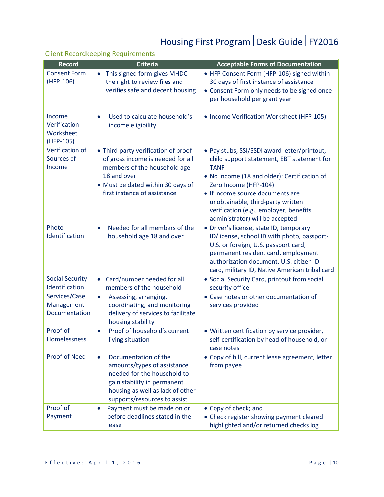### Client Recordkeeping Requirements

| <b>Record</b>                                    | <b>Criteria</b>                                                                                                                                                                                    | <b>Acceptable Forms of Documentation</b>                                                                                                                                                                                                                                                                                                 |
|--------------------------------------------------|----------------------------------------------------------------------------------------------------------------------------------------------------------------------------------------------------|------------------------------------------------------------------------------------------------------------------------------------------------------------------------------------------------------------------------------------------------------------------------------------------------------------------------------------------|
| <b>Consent Form</b><br>$(HFP-106)$               | This signed form gives MHDC<br>$\bullet$<br>the right to review files and<br>verifies safe and decent housing                                                                                      | • HFP Consent Form (HFP-106) signed within<br>30 days of first instance of assistance<br>• Consent Form only needs to be signed once<br>per household per grant year                                                                                                                                                                     |
| Income<br>Verification<br>Worksheet<br>(HFP-105) | Used to calculate household's<br>$\bullet$<br>income eligibility                                                                                                                                   | • Income Verification Worksheet (HFP-105)                                                                                                                                                                                                                                                                                                |
| Verification of<br>Sources of<br>Income          | • Third-party verification of proof<br>of gross income is needed for all<br>members of the household age<br>18 and over<br>• Must be dated within 30 days of<br>first instance of assistance       | • Pay stubs, SSI/SSDI award letter/printout,<br>child support statement, EBT statement for<br><b>TANF</b><br>. No income (18 and older): Certification of<br>Zero Income (HFP-104)<br>• If income source documents are<br>unobtainable, third-party written<br>verification (e.g., employer, benefits<br>administrator) will be accepted |
| Photo<br>Identification                          | Needed for all members of the<br>$\bullet$<br>household age 18 and over                                                                                                                            | • Driver's license, state ID, temporary<br>ID/license, school ID with photo, passport-<br>U.S. or foreign, U.S. passport card,<br>permanent resident card, employment<br>authorization document, U.S. citizen ID<br>card, military ID, Native American tribal card                                                                       |
| <b>Social Security</b><br>Identification         | Card/number needed for all<br>$\bullet$<br>members of the household                                                                                                                                | • Social Security Card, printout from social<br>security office                                                                                                                                                                                                                                                                          |
| Services/Case<br>Management<br>Documentation     | Assessing, arranging,<br>$\bullet$<br>coordinating, and monitoring<br>delivery of services to facilitate<br>housing stability                                                                      | • Case notes or other documentation of<br>services provided                                                                                                                                                                                                                                                                              |
| Proof of<br>Homelessness                         | Proof of household's current<br>$\bullet$<br>living situation                                                                                                                                      | • Written certification by service provider,<br>self-certification by head of household, or<br>case notes                                                                                                                                                                                                                                |
| <b>Proof of Need</b>                             | Documentation of the<br>$\bullet$<br>amounts/types of assistance<br>needed for the household to<br>gain stability in permanent<br>housing as well as lack of other<br>supports/resources to assist | • Copy of bill, current lease agreement, letter<br>from payee                                                                                                                                                                                                                                                                            |
| Proof of<br>Payment                              | Payment must be made on or<br>$\bullet$<br>before deadlines stated in the<br>lease                                                                                                                 | • Copy of check; and<br>• Check register showing payment cleared<br>highlighted and/or returned checks log                                                                                                                                                                                                                               |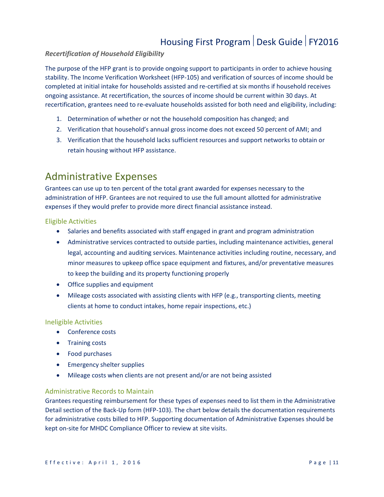### *Recertification of Household Eligibility*

The purpose of the HFP grant is to provide ongoing support to participants in order to achieve housing stability. The Income Verification Worksheet (HFP-105) and verification of sources of income should be completed at initial intake for households assisted and re-certified at six months if household receives ongoing assistance. At recertification, the sources of income should be current within 30 days. At recertification, grantees need to re-evaluate households assisted for both need and eligibility, including:

- 1. Determination of whether or not the household composition has changed; and
- 2. Verification that household's annual gross income does not exceed 50 percent of AMI; and
- 3. Verification that the household lacks sufficient resources and support networks to obtain or retain housing without HFP assistance.

### <span id="page-10-0"></span>Administrative Expenses

Grantees can use up to ten percent of the total grant awarded for expenses necessary to the administration of HFP. Grantees are not required to use the full amount allotted for administrative expenses if they would prefer to provide more direct financial assistance instead.

### Eligible Activities

- Salaries and benefits associated with staff engaged in grant and program administration
- Administrative services contracted to outside parties, including maintenance activities, general legal, accounting and auditing services. Maintenance activities including routine, necessary, and minor measures to upkeep office space equipment and fixtures, and/or preventative measures to keep the building and its property functioning properly
- Office supplies and equipment
- Mileage costs associated with assisting clients with HFP (e.g., transporting clients, meeting clients at home to conduct intakes, home repair inspections, etc.)

### Ineligible Activities

- Conference costs
- Training costs
- Food purchases
- Emergency shelter supplies
- Mileage costs when clients are not present and/or are not being assisted

### Administrative Records to Maintain

Grantees requesting reimbursement for these types of expenses need to list them in the Administrative Detail section of the Back-Up form (HFP-103). The chart below details the documentation requirements for administrative costs billed to HFP. Supporting documentation of Administrative Expenses should be kept on-site for MHDC Compliance Officer to review at site visits.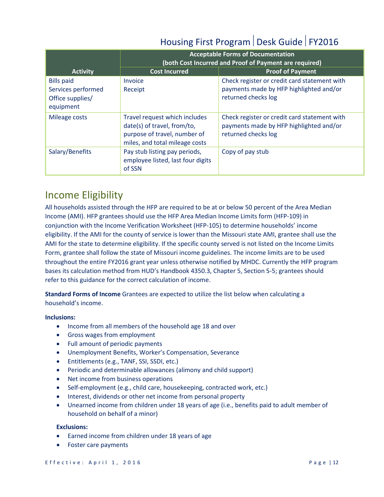|                                                                          | <b>Acceptable Forms of Documentation</b><br>(both Cost Incurred and Proof of Payment are required)                             |                                                                                                                |
|--------------------------------------------------------------------------|--------------------------------------------------------------------------------------------------------------------------------|----------------------------------------------------------------------------------------------------------------|
| <b>Activity</b>                                                          | <b>Cost Incurred</b>                                                                                                           | <b>Proof of Payment</b>                                                                                        |
| <b>Bills paid</b><br>Services performed<br>Office supplies/<br>equipment | Invoice<br>Receipt                                                                                                             | Check register or credit card statement with<br>payments made by HFP highlighted and/or<br>returned checks log |
| Mileage costs                                                            | Travel request which includes<br>date(s) of travel, from/to,<br>purpose of travel, number of<br>miles, and total mileage costs | Check register or credit card statement with<br>payments made by HFP highlighted and/or<br>returned checks log |
| Salary/Benefits                                                          | Pay stub listing pay periods,<br>employee listed, last four digits<br>of SSN                                                   | Copy of pay stub                                                                                               |

### <span id="page-11-0"></span>Income Eligibility

All households assisted through the HFP are required to be at or below 50 percent of the Area Median Income (AMI). HFP grantees should use the HFP Area Median Income Limits form (HFP-109) in conjunction with the Income Verification Worksheet (HFP-105) to determine households' income eligibility. If the AMI for the county of service is lower than the Missouri state AMI, grantee shall use the AMI for the state to determine eligibility. If the specific county served is not listed on the Income Limits Form, grantee shall follow the state of Missouri income guidelines. The income limits are to be used throughout the entire FY2016 grant year unless otherwise notified by MHDC. Currently the HFP program bases its calculation method from HUD's Handbook 4350.3, Chapter 5, Section 5-5; grantees should refer to this guidance for the correct calculation of income.

**Standard Forms of Income** Grantees are expected to utilize the list below when calculating a household's income.

### **Inclusions:**

- Income from all members of the household age 18 and over
- Gross wages from employment
- Full amount of periodic payments
- Unemployment Benefits, Worker's Compensation, Severance
- Entitlements (e.g., TANF, SSI, SSDI, etc.)
- Periodic and determinable allowances (alimony and child support)
- Net income from business operations
- Self-employment (e.g., child care, housekeeping, contracted work, etc.)
- Interest, dividends or other net income from personal property
- Unearned income from children under 18 years of age (i.e., benefits paid to adult member of household on behalf of a minor)

#### **Exclusions:**

- Earned income from children under 18 years of age
- Foster care payments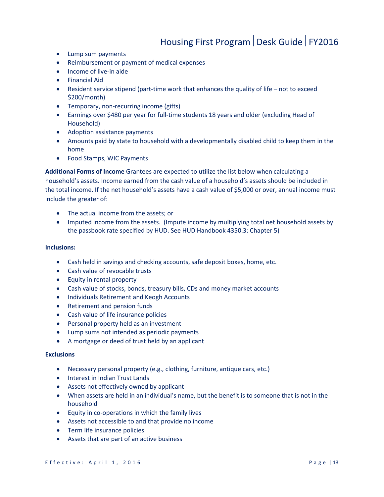- Lump sum payments
- Reimbursement or payment of medical expenses
- Income of live-in aide
- Financial Aid
- Resident service stipend (part-time work that enhances the quality of life not to exceed \$200/month)
- Temporary, non-recurring income (gifts)
- Earnings over \$480 per year for full-time students 18 years and older (excluding Head of Household)
- Adoption assistance payments
- Amounts paid by state to household with a developmentally disabled child to keep them in the home
- Food Stamps, WIC Payments

**Additional Forms of Income** Grantees are expected to utilize the list below when calculating a household's assets. Income earned from the cash value of a household's assets should be included in the total income. If the net household's assets have a cash value of \$5,000 or over, annual income must include the greater of:

- The actual income from the assets; or
- Imputed income from the assets. (Impute income by multiplying total net household assets by the passbook rate specified by HUD. See HUD Handbook 4350.3: Chapter 5)

### **Inclusions:**

- Cash held in savings and checking accounts, safe deposit boxes, home, etc.
- Cash value of revocable trusts
- Equity in rental property
- Cash value of stocks, bonds, treasury bills, CDs and money market accounts
- Individuals Retirement and Keogh Accounts
- Retirement and pension funds
- Cash value of life insurance policies
- Personal property held as an investment
- Lump sums not intended as periodic payments
- A mortgage or deed of trust held by an applicant

#### **Exclusions**

- Necessary personal property (e.g., clothing, furniture, antique cars, etc.)
- Interest in Indian Trust Lands
- Assets not effectively owned by applicant
- When assets are held in an individual's name, but the benefit is to someone that is not in the household
- Equity in co-operations in which the family lives
- Assets not accessible to and that provide no income
- Term life insurance policies
- Assets that are part of an active business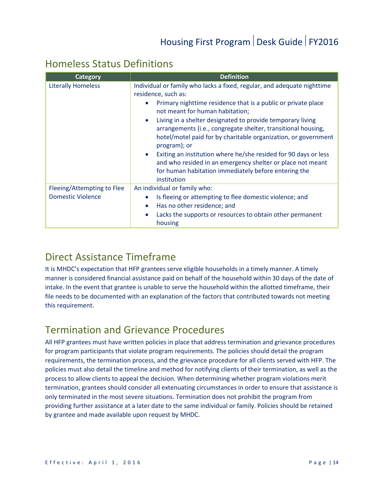### <span id="page-13-0"></span>Homeless Status Definitions

| Category                   | <b>Definition</b>                                                                                                                                                                                                          |
|----------------------------|----------------------------------------------------------------------------------------------------------------------------------------------------------------------------------------------------------------------------|
| <b>Literally Homeless</b>  | Individual or family who lacks a fixed, regular, and adequate nighttime<br>residence, such as:                                                                                                                             |
|                            | Primary nighttime residence that is a public or private place<br>not meant for human habitation;                                                                                                                           |
|                            | Living in a shelter designated to provide temporary living<br>$\bullet$<br>arrangements (i.e., congregate shelter, transitional housing,<br>hotel/motel paid for by charitable organization, or government<br>program); or |
|                            | Exiting an institution where he/she resided for 90 days or less<br>$\bullet$<br>and who resided in an emergency shelter or place not meant<br>for human habitation immediately before entering the<br>institution          |
| Fleeing/Attempting to Flee | An individual or family who:                                                                                                                                                                                               |
| <b>Domestic Violence</b>   | Is fleeing or attempting to flee domestic violence; and<br>$\bullet$                                                                                                                                                       |
|                            | Has no other residence; and<br>$\bullet$                                                                                                                                                                                   |
|                            | Lacks the supports or resources to obtain other permanent<br>$\bullet$<br>housing                                                                                                                                          |

### <span id="page-13-1"></span>Direct Assistance Timeframe

It is MHDC's expectation that HFP grantees serve eligible households in a timely manner. A timely manner is considered financial assistance paid on behalf of the household within 30 days of the date of intake. In the event that grantee is unable to serve the household within the allotted timeframe, their file needs to be documented with an explanation of the factors that contributed towards not meeting this requirement.

### <span id="page-13-2"></span>Termination and Grievance Procedures

All HFP grantees must have written policies in place that address termination and grievance procedures for program participants that violate program requirements. The policies should detail the program requirements, the termination process, and the grievance procedure for all clients served with HFP. The policies must also detail the timeline and method for notifying clients of their termination, as well as the process to allow clients to appeal the decision. When determining whether program violations merit termination, grantees should consider all extenuating circumstances in order to ensure that assistance is only terminated in the most severe situations. Termination does not prohibit the program from providing further assistance at a later date to the same individual or family. Policies should be retained by grantee and made available upon request by MHDC.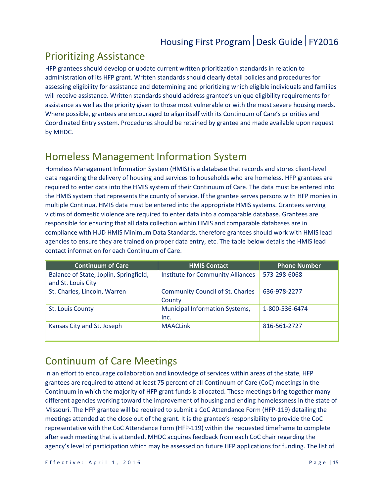### <span id="page-14-0"></span>Prioritizing Assistance

HFP grantees should develop or update current written prioritization standards in relation to administration of its HFP grant. Written standards should clearly detail policies and procedures for assessing eligibility for assistance and determining and prioritizing which eligible individuals and families will receive assistance. Written standards should address grantee's unique eligibility requirements for assistance as well as the priority given to those most vulnerable or with the most severe housing needs. Where possible, grantees are encouraged to align itself with its Continuum of Care's priorities and Coordinated Entry system. Procedures should be retained by grantee and made available upon request by MHDC.

### <span id="page-14-1"></span>Homeless Management Information System

Homeless Management Information System (HMIS) is a database that records and stores client-level data regarding the delivery of housing and services to households who are homeless. HFP grantees are required to enter data into the HMIS system of their Continuum of Care. The data must be entered into the HMIS system that represents the county of service. If the grantee serves persons with HFP monies in multiple Continua, HMIS data must be entered into the appropriate HMIS systems. Grantees serving victims of domestic violence are required to enter data into a comparable database. Grantees are responsible for ensuring that all data collection within HMIS and comparable databases are in compliance with HUD HMIS Minimum Data Standards, therefore grantees should work with HMIS lead agencies to ensure they are trained on proper data entry, etc. The table below details the HMIS lead contact information for each Continuum of Care.

| <b>Continuum of Care</b>               | <b>HMIS Contact</b>                      | <b>Phone Number</b> |
|----------------------------------------|------------------------------------------|---------------------|
| Balance of State, Joplin, Springfield, | <b>Institute for Community Alliances</b> | 573-298-6068        |
| and St. Louis City                     |                                          |                     |
| St. Charles, Lincoln, Warren           | <b>Community Council of St. Charles</b>  | 636-978-2277        |
|                                        | County                                   |                     |
| St. Louis County                       | <b>Municipal Information Systems,</b>    | 1-800-536-6474      |
|                                        | Inc.                                     |                     |
| Kansas City and St. Joseph             | <b>MAACLink</b>                          | 816-561-2727        |
|                                        |                                          |                     |

### <span id="page-14-2"></span>Continuum of Care Meetings

In an effort to encourage collaboration and knowledge of services within areas of the state, HFP grantees are required to attend at least 75 percent of all Continuum of Care (CoC) meetings in the Continuum in which the majority of HFP grant funds is allocated. These meetings bring together many different agencies working toward the improvement of housing and ending homelessness in the state of Missouri. The HFP grantee will be required to submit a CoC Attendance Form (HFP-119) detailing the meetings attended at the close out of the grant. It is the grantee's responsibility to provide the CoC representative with the CoC Attendance Form (HFP-119) within the requested timeframe to complete after each meeting that is attended. MHDC acquires feedback from each CoC chair regarding the agency's level of participation which may be assessed on future HFP applications for funding. The list of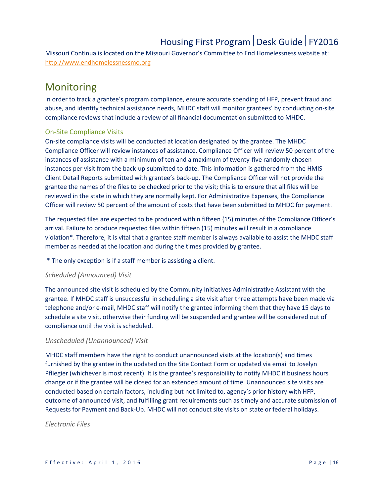Missouri Continua is located on the Missouri Governor's Committee to End Homelessness website at: [http://www.endhomelessnessmo.org](http://www.endhomelessnessmo.org/)

### <span id="page-15-0"></span>**Monitoring**

In order to track a grantee's program compliance, ensure accurate spending of HFP, prevent fraud and abuse, and identify technical assistance needs, MHDC staff will monitor grantees' by conducting on-site compliance reviews that include a review of all financial documentation submitted to MHDC.

### On-Site Compliance Visits

On-site compliance visits will be conducted at location designated by the grantee. The MHDC Compliance Officer will review instances of assistance. Compliance Officer will review 50 percent of the instances of assistance with a minimum of ten and a maximum of twenty-five randomly chosen instances per visit from the back-up submitted to date. This information is gathered from the HMIS Client Detail Reports submitted with grantee's back-up. The Compliance Officer will not provide the grantee the names of the files to be checked prior to the visit; this is to ensure that all files will be reviewed in the state in which they are normally kept. For Administrative Expenses, the Compliance Officer will review 50 percent of the amount of costs that have been submitted to MHDC for payment.

The requested files are expected to be produced within fifteen (15) minutes of the Compliance Officer's arrival. Failure to produce requested files within fifteen (15) minutes will result in a compliance violation\*. Therefore, it is vital that a grantee staff member is always available to assist the MHDC staff member as needed at the location and during the times provided by grantee.

\* The only exception is if a staff member is assisting a client.

### *Scheduled (Announced) Visit*

The announced site visit is scheduled by the Community Initiatives Administrative Assistant with the grantee. If MHDC staff is unsuccessful in scheduling a site visit after three attempts have been made via telephone and/or e-mail, MHDC staff will notify the grantee informing them that they have 15 days to schedule a site visit, otherwise their funding will be suspended and grantee will be considered out of compliance until the visit is scheduled.

### *Unscheduled (Unannounced) Visit*

MHDC staff members have the right to conduct unannounced visits at the location(s) and times furnished by the grantee in the updated on the Site Contact Form or updated via email to Joselyn Pfliegier (whichever is most recent). It is the grantee's responsibility to notify MHDC if business hours change or if the grantee will be closed for an extended amount of time. Unannounced site visits are conducted based on certain factors, including but not limited to, agency's prior history with HFP, outcome of announced visit, and fulfilling grant requirements such as timely and accurate submission of Requests for Payment and Back-Up. MHDC will not conduct site visits on state or federal holidays.

*Electronic Files*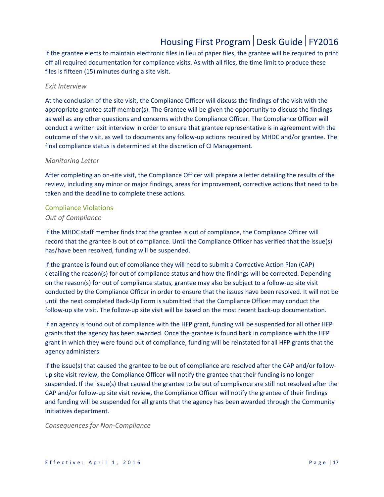If the grantee elects to maintain electronic files in lieu of paper files, the grantee will be required to print off all required documentation for compliance visits. As with all files, the time limit to produce these files is fifteen (15) minutes during a site visit.

#### *Exit Interview*

At the conclusion of the site visit, the Compliance Officer will discuss the findings of the visit with the appropriate grantee staff member(s). The Grantee will be given the opportunity to discuss the findings as well as any other questions and concerns with the Compliance Officer. The Compliance Officer will conduct a written exit interview in order to ensure that grantee representative is in agreement with the outcome of the visit, as well to documents any follow-up actions required by MHDC and/or grantee. The final compliance status is determined at the discretion of CI Management.

#### *Monitoring Letter*

After completing an on-site visit, the Compliance Officer will prepare a letter detailing the results of the review, including any minor or major findings, areas for improvement, corrective actions that need to be taken and the deadline to complete these actions.

### Compliance Violations

### *Out of Compliance*

If the MHDC staff member finds that the grantee is out of compliance, the Compliance Officer will record that the grantee is out of compliance. Until the Compliance Officer has verified that the issue(s) has/have been resolved, funding will be suspended.

If the grantee is found out of compliance they will need to submit a Corrective Action Plan (CAP) detailing the reason(s) for out of compliance status and how the findings will be corrected. Depending on the reason(s) for out of compliance status, grantee may also be subject to a follow-up site visit conducted by the Compliance Officer in order to ensure that the issues have been resolved. It will not be until the next completed Back-Up Form is submitted that the Compliance Officer may conduct the follow-up site visit. The follow-up site visit will be based on the most recent back-up documentation.

If an agency is found out of compliance with the HFP grant, funding will be suspended for all other HFP grants that the agency has been awarded. Once the grantee is found back in compliance with the HFP grant in which they were found out of compliance, funding will be reinstated for all HFP grants that the agency administers.

If the issue(s) that caused the grantee to be out of compliance are resolved after the CAP and/or followup site visit review, the Compliance Officer will notify the grantee that their funding is no longer suspended. If the issue(s) that caused the grantee to be out of compliance are still not resolved after the CAP and/or follow-up site visit review, the Compliance Officer will notify the grantee of their findings and funding will be suspended for all grants that the agency has been awarded through the Community Initiatives department.

*Consequences for Non-Compliance*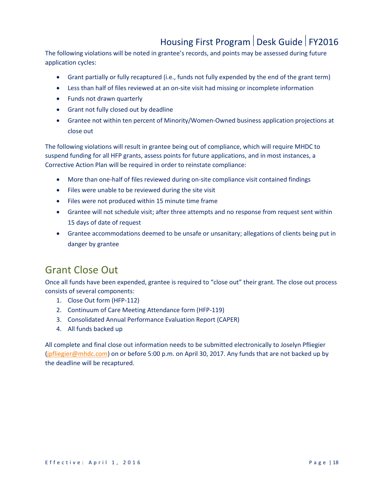The following violations will be noted in grantee's records, and points may be assessed during future application cycles:

- Grant partially or fully recaptured (i.e., funds not fully expended by the end of the grant term)
- Less than half of files reviewed at an on-site visit had missing or incomplete information
- Funds not drawn quarterly
- Grant not fully closed out by deadline
- Grantee not within ten percent of Minority/Women-Owned business application projections at close out

The following violations will result in grantee being out of compliance, which will require MHDC to suspend funding for all HFP grants, assess points for future applications, and in most instances, a Corrective Action Plan will be required in order to reinstate compliance:

- More than one-half of files reviewed during on-site compliance visit contained findings
- Files were unable to be reviewed during the site visit
- Files were not produced within 15 minute time frame
- Grantee will not schedule visit; after three attempts and no response from request sent within 15 days of date of request
- Grantee accommodations deemed to be unsafe or unsanitary; allegations of clients being put in danger by grantee

### <span id="page-17-0"></span>Grant Close Out

Once all funds have been expended, grantee is required to "close out" their grant. The close out process consists of several components:

- 1. Close Out form (HFP-112)
- 2. Continuum of Care Meeting Attendance form (HFP-119)
- 3. Consolidated Annual Performance Evaluation Report (CAPER)
- 4. All funds backed up

All complete and final close out information needs to be submitted electronically to Joselyn Pfliegier [\(jpfliegier@mhdc.com\)](mailto:jpfliegier@mhdc.com) on or before 5:00 p.m. on April 30, 2017. Any funds that are not backed up by the deadline will be recaptured.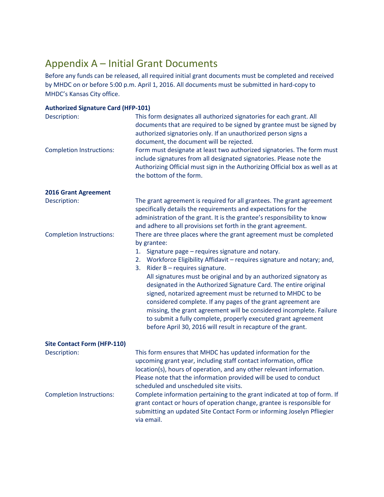### <span id="page-18-0"></span>Appendix A – Initial Grant Documents

Before any funds can be released, all required initial grant documents must be completed and received by MHDC on or before 5:00 p.m. April 1, 2016. All documents must be submitted in hard-copy to MHDC's Kansas City office.

| <b>Authorized Signature Card (HFP-101)</b> |                                                                                                                                                                                                                                                                                                                                                                                                                                                                             |
|--------------------------------------------|-----------------------------------------------------------------------------------------------------------------------------------------------------------------------------------------------------------------------------------------------------------------------------------------------------------------------------------------------------------------------------------------------------------------------------------------------------------------------------|
| Description:                               | This form designates all authorized signatories for each grant. All<br>documents that are required to be signed by grantee must be signed by<br>authorized signatories only. If an unauthorized person signs a<br>document, the document will be rejected.                                                                                                                                                                                                                  |
| <b>Completion Instructions:</b>            | Form must designate at least two authorized signatories. The form must<br>include signatures from all designated signatories. Please note the<br>Authorizing Official must sign in the Authorizing Official box as well as at<br>the bottom of the form.                                                                                                                                                                                                                    |
| <b>2016 Grant Agreement</b>                |                                                                                                                                                                                                                                                                                                                                                                                                                                                                             |
| Description:                               | The grant agreement is required for all grantees. The grant agreement<br>specifically details the requirements and expectations for the<br>administration of the grant. It is the grantee's responsibility to know<br>and adhere to all provisions set forth in the grant agreement.                                                                                                                                                                                        |
| <b>Completion Instructions:</b>            | There are three places where the grant agreement must be completed<br>by grantee:                                                                                                                                                                                                                                                                                                                                                                                           |
|                                            | Signature page - requires signature and notary.<br>1.                                                                                                                                                                                                                                                                                                                                                                                                                       |
|                                            | 2. Workforce Eligibility Affidavit - requires signature and notary; and,<br>Rider B - requires signature.<br>3.                                                                                                                                                                                                                                                                                                                                                             |
|                                            | All signatures must be original and by an authorized signatory as<br>designated in the Authorized Signature Card. The entire original<br>signed, notarized agreement must be returned to MHDC to be<br>considered complete. If any pages of the grant agreement are<br>missing, the grant agreement will be considered incomplete. Failure<br>to submit a fully complete, properly executed grant agreement<br>before April 30, 2016 will result in recapture of the grant. |
| <b>Site Contact Form (HFP-110)</b>         |                                                                                                                                                                                                                                                                                                                                                                                                                                                                             |
| Description:                               | This form ensures that MHDC has updated information for the<br>upcoming grant year, including staff contact information, office<br>location(s), hours of operation, and any other relevant information.<br>Please note that the information provided will be used to conduct<br>scheduled and unscheduled site visits.                                                                                                                                                      |
| <b>Completion Instructions:</b>            | Complete information pertaining to the grant indicated at top of form. If<br>grant contact or hours of operation change, grantee is responsible for<br>submitting an updated Site Contact Form or informing Joselyn Pfliegier<br>via email.                                                                                                                                                                                                                                 |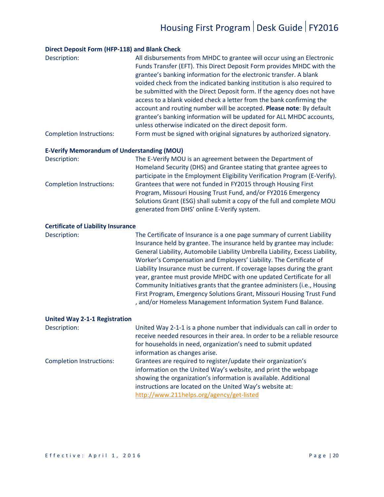#### **Direct Deposit Form (HFP-118) and Blank Check**

| Description:                    | All disbursements from MHDC to grantee will occur using an Electronic   |
|---------------------------------|-------------------------------------------------------------------------|
|                                 | Funds Transfer (EFT). This Direct Deposit Form provides MHDC with the   |
|                                 | grantee's banking information for the electronic transfer. A blank      |
|                                 | voided check from the indicated banking institution is also required to |
|                                 | be submitted with the Direct Deposit form. If the agency does not have  |
|                                 | access to a blank voided check a letter from the bank confirming the    |
|                                 | account and routing number will be accepted. Please note: By default    |
|                                 | grantee's banking information will be updated for ALL MHDC accounts,    |
|                                 | unless otherwise indicated on the direct deposit form.                  |
| <b>Completion Instructions:</b> | Form must be signed with original signatures by authorized signatory.   |

#### **E-Verify Memorandum of Understanding (MOU)**

| Description:                    | The E-Verify MOU is an agreement between the Department of                 |
|---------------------------------|----------------------------------------------------------------------------|
|                                 | Homeland Security (DHS) and Grantee stating that grantee agrees to         |
|                                 | participate in the Employment Eligibility Verification Program (E-Verify). |
| <b>Completion Instructions:</b> | Grantees that were not funded in FY2015 through Housing First              |
|                                 | Program, Missouri Housing Trust Fund, and/or FY2016 Emergency              |
|                                 | Solutions Grant (ESG) shall submit a copy of the full and complete MOU     |
|                                 | generated from DHS' online E-Verify system.                                |

#### **Certificate of Liability Insurance**

Description: The Certificate of Insurance is a one page summary of current Liability Insurance held by grantee. The insurance held by grantee may include: General Liability, Automobile Liability Umbrella Liability, Excess Liability, Worker's Compensation and Employers' Liability. The Certificate of Liability Insurance must be current. If coverage lapses during the grant year, grantee must provide MHDC with one updated Certificate for all Community Initiatives grants that the grantee administers (i.e., Housing First Program, Emergency Solutions Grant, Missouri Housing Trust Fund , and/or Homeless Management Information System Fund Balance.

#### **United Way 2-1-1 Registration**

| Description:                    | United Way 2-1-1 is a phone number that individuals can call in order to   |
|---------------------------------|----------------------------------------------------------------------------|
|                                 | receive needed resources in their area. In order to be a reliable resource |
|                                 | for households in need, organization's need to submit updated              |
|                                 | information as changes arise.                                              |
| <b>Completion Instructions:</b> | Grantees are required to register/update their organization's              |
|                                 | information on the United Way's website, and print the webpage             |
|                                 | showing the organization's information is available. Additional            |
|                                 | instructions are located on the United Way's website at:                   |
|                                 | http://www.211helps.org/agency/get-listed                                  |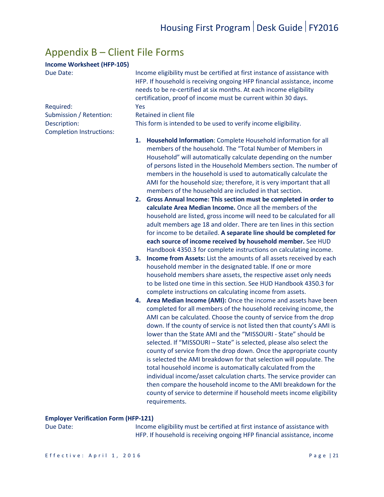### <span id="page-20-0"></span>Appendix B – Client File Forms

### **Income Worksheet (HFP-105)**

Completion Instructions:

| Due Date: |  |
|-----------|--|
|           |  |

Income eligibility must be certified at first instance of assistance with HFP. If household is receiving ongoing HFP financial assistance, income needs to be re-certified at six months. At each income eligibility certification, proof of income must be current within 30 days. Required: Yes

Submission / Retention: Retained in client file

Description: This form is intended to be used to verify income eligibility.

- **1. Household Information**: Complete Household information for all members of the household. The "Total Number of Members in Household" will automatically calculate depending on the number of persons listed in the Household Members section. The number of members in the household is used to automatically calculate the AMI for the household size; therefore, it is very important that all members of the household are included in that section.
- **2. Gross Annual Income: This section must be completed in order to calculate Area Median Income.** Once all the members of the household are listed, gross income will need to be calculated for all adult members age 18 and older. There are ten lines in this section for income to be detailed. **A separate line should be completed for each source of income received by household member.** See HUD Handbook 4350.3 for complete instructions on calculating income.
- **3. Income from Assets:** List the amounts of all assets received by each household member in the designated table. If one or more household members share assets, the respective asset only needs to be listed one time in this section. See HUD Handbook 4350.3 for complete instructions on calculating income from assets.
- **4. Area Median Income (AMI):** Once the income and assets have been completed for all members of the household receiving income, the AMI can be calculated. Choose the county of service from the drop down. If the county of service is not listed then that county's AMI is lower than the State AMI and the "MISSOURI - State" should be selected. If "MISSOURI – State" is selected, please also select the county of service from the drop down. Once the appropriate county is selected the AMI breakdown for that selection will populate. The total household income is automatically calculated from the individual income/asset calculation charts. The service provider can then compare the household income to the AMI breakdown for the county of service to determine if household meets income eligibility requirements.

#### **Employer Verification Form (HFP-121)**

Due Date: Income eligibility must be certified at first instance of assistance with HFP. If household is receiving ongoing HFP financial assistance, income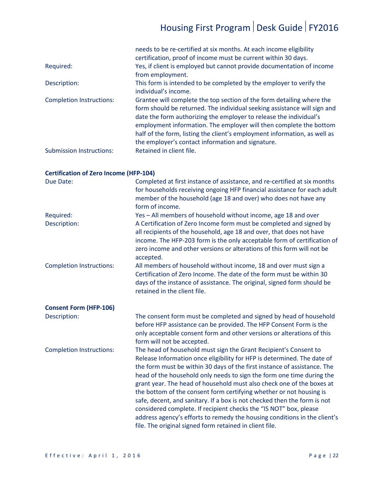|                                 | needs to be re-certified at six months. At each income eligibility<br>certification, proof of income must be current within 30 days.                                                                                                                                                                                                                                                                                            |
|---------------------------------|---------------------------------------------------------------------------------------------------------------------------------------------------------------------------------------------------------------------------------------------------------------------------------------------------------------------------------------------------------------------------------------------------------------------------------|
| Required:                       | Yes, if client is employed but cannot provide documentation of income<br>from employment.                                                                                                                                                                                                                                                                                                                                       |
| Description:                    | This form is intended to be completed by the employer to verify the<br>individual's income.                                                                                                                                                                                                                                                                                                                                     |
| <b>Completion Instructions:</b> | Grantee will complete the top section of the form detailing where the<br>form should be returned. The individual seeking assistance will sign and<br>date the form authorizing the employer to release the individual's<br>employment information. The employer will then complete the bottom<br>half of the form, listing the client's employment information, as well as<br>the employer's contact information and signature. |
| <b>Submission Instructions:</b> | Retained in client file.                                                                                                                                                                                                                                                                                                                                                                                                        |

### **Certification of Zero Income (HFP-104)**

| Due Date:                       | Completed at first instance of assistance, and re-certified at six months<br>for households receiving ongoing HFP financial assistance for each adult<br>member of the household (age 18 and over) who does not have any<br>form of income.                                                                                                                                                                                                                                                                                                                                                                                                                                                                                               |
|---------------------------------|-------------------------------------------------------------------------------------------------------------------------------------------------------------------------------------------------------------------------------------------------------------------------------------------------------------------------------------------------------------------------------------------------------------------------------------------------------------------------------------------------------------------------------------------------------------------------------------------------------------------------------------------------------------------------------------------------------------------------------------------|
| Required:                       | Yes - All members of household without income, age 18 and over                                                                                                                                                                                                                                                                                                                                                                                                                                                                                                                                                                                                                                                                            |
| Description:                    | A Certification of Zero Income form must be completed and signed by<br>all recipients of the household, age 18 and over, that does not have<br>income. The HFP-203 form is the only acceptable form of certification of<br>zero income and other versions or alterations of this form will not be<br>accepted.                                                                                                                                                                                                                                                                                                                                                                                                                            |
| <b>Completion Instructions:</b> | All members of household without income, 18 and over must sign a<br>Certification of Zero Income. The date of the form must be within 30<br>days of the instance of assistance. The original, signed form should be<br>retained in the client file.                                                                                                                                                                                                                                                                                                                                                                                                                                                                                       |
| <b>Consent Form (HFP-106)</b>   |                                                                                                                                                                                                                                                                                                                                                                                                                                                                                                                                                                                                                                                                                                                                           |
| Description:                    | The consent form must be completed and signed by head of household<br>before HFP assistance can be provided. The HFP Consent Form is the<br>only acceptable consent form and other versions or alterations of this<br>form will not be accepted.                                                                                                                                                                                                                                                                                                                                                                                                                                                                                          |
| <b>Completion Instructions:</b> | The head of household must sign the Grant Recipient's Consent to<br>Release Information once eligibility for HFP is determined. The date of<br>the form must be within 30 days of the first instance of assistance. The<br>head of the household only needs to sign the form one time during the<br>grant year. The head of household must also check one of the boxes at<br>the bottom of the consent form certifying whether or not housing is<br>safe, decent, and sanitary. If a box is not checked then the form is not<br>considered complete. If recipient checks the "IS NOT" box, please<br>address agency's efforts to remedy the housing conditions in the client's<br>file. The original signed form retained in client file. |